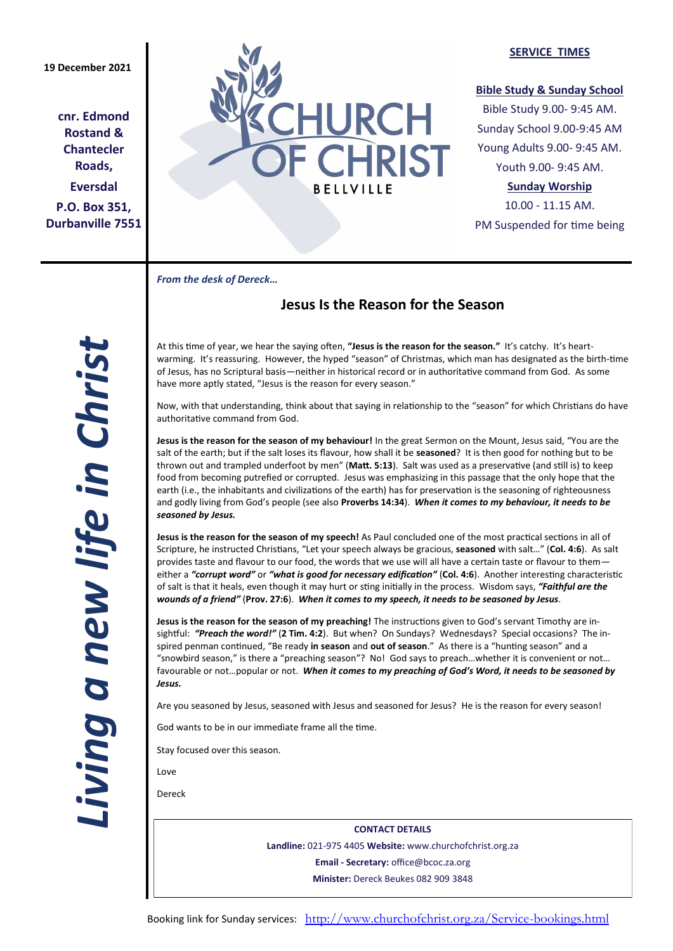**cnr. Edmond Rostand & Chantecler Roads, Eversdal P.O. Box 351, Durbanville 7551**



### **SERVICE TIMES**

### **Bible Study & Sunday School**

Bible Study 9.00- 9:45 AM. Sunday School 9.00-9:45 AM Young Adults 9.00- 9:45 AM. Youth 9.00- 9:45 AM.

# **Sunday Worship**

10.00 - 11.15 AM. PM Suspended for time being

*From the desk of Dereck…* 

# **Jesus Is the Reason for the Season**

At this time of year, we hear the saying often, **"Jesus is the reason for the season."** It's catchy. It's heartwarming. It's reassuring. However, the hyped "season" of Christmas, which man has designated as the birth-time of Jesus, has no Scriptural basis—neither in historical record or in authoritative command from God. As some have more aptly stated, "Jesus is the reason for every season."

Now, with that understanding, think about that saying in relationship to the "season" for which Christians do have authoritative command from God.

**Jesus is the reason for the season of my behaviour!** In the great Sermon on the Mount, Jesus said, "You are the salt of the earth; but if the salt loses its flavour, how shall it be **seasoned**? It is then good for nothing but to be thrown out and trampled underfoot by men" (**Matt. 5:13**). Salt was used as a preservative (and still is) to keep food from becoming putrefied or corrupted. Jesus was emphasizing in this passage that the only hope that the earth (i.e., the inhabitants and civilizations of the earth) has for preservation is the seasoning of righteousness and godly living from God's people (see also **Proverbs 14:34**). *When it comes to my behaviour, it needs to be seasoned by Jesus.*

**Jesus is the reason for the season of my speech!** As Paul concluded one of the most practical sections in all of Scripture, he instructed Christians, "Let your speech always be gracious, **seasoned** with salt…" (**Col. 4:6**). As salt provides taste and flavour to our food, the words that we use will all have a certain taste or flavour to them either a *"corrupt word"* or *"what is good for necessary edification"* (**Col. 4:6**). Another interesting characteristic of salt is that it heals, even though it may hurt or sting initially in the process. Wisdom says, *"Faithful are the wounds of a friend"* (**Prov. 27:6**). *When it comes to my speech, it needs to be seasoned by Jesus.*

**Jesus is the reason for the season of my preaching!** The instructions given to God's servant Timothy are insightful: *"Preach the word!"* (**2 Tim. 4:2**). But when? On Sundays? Wednesdays? Special occasions? The inspired penman continued, "Be ready **in season** and **out of season**." As there is a "hunting season" and a "snowbird season," is there a "preaching season"? No! God says to preach…whether it is convenient or not… favourable or not…popular or not. *When it comes to my preaching of God's Word, it needs to be seasoned by Jesus.*

Are you seasoned by Jesus, seasoned with Jesus and seasoned for Jesus? He is the reason for every season!

God wants to be in our immediate frame all the time.

Stay focused over this season.

Love

Dereck

**CONTACT DETAILS Landline:** 021-975 4405 **Website:** www.churchofchrist.org.za **Email - Secretary:** office@bcoc.za.org **Minister:** Dereck Beukes 082 909 3848